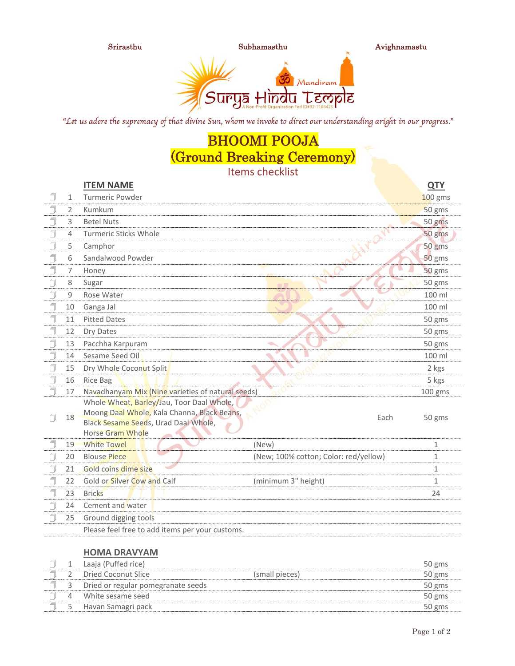

"Let us adore the supremacy of that divine Sun, whom we invoke to direct our understanding aright in our progress."

# BHOOMI POOJA (Ground Breaking Ceremony)

Items checklist

|   |    | <b>ITEM NAME</b>                                                                                                                                            |                                       | <b>QTY</b>   |
|---|----|-------------------------------------------------------------------------------------------------------------------------------------------------------------|---------------------------------------|--------------|
|   | 1  | <b>Turmeric Powder</b>                                                                                                                                      |                                       | 100 gms      |
|   | 2  | Kumkum                                                                                                                                                      |                                       | 50 gms       |
|   | 3  | <b>Betel Nuts</b>                                                                                                                                           |                                       | 50 gms       |
| ٦ | 4  | <b>Turmeric Sticks Whole</b>                                                                                                                                |                                       | 50 gms       |
| J | 5  | Camphor                                                                                                                                                     |                                       | 50 gms       |
| f | 6  | Sandalwood Powder                                                                                                                                           |                                       | 50 gms       |
| 7 | 7  | Honey                                                                                                                                                       |                                       | 50 gms       |
|   | 8  | Sugar                                                                                                                                                       |                                       | 50 gms       |
| 7 | 9  | Rose Water                                                                                                                                                  |                                       | 100 ml       |
|   | 10 | Ganga Jal                                                                                                                                                   |                                       | 100 ml       |
| 7 | 11 | <b>Pitted Dates</b>                                                                                                                                         |                                       | 50 gms       |
| J | 12 | Dry Dates                                                                                                                                                   |                                       | 50 gms       |
| ı | 13 | Pacchha Karpuram                                                                                                                                            |                                       | 50 gms       |
| f | 14 | Sesame Seed Oil                                                                                                                                             |                                       | 100 ml       |
|   | 15 | Dry Whole Coconut Split                                                                                                                                     |                                       | 2 kgs        |
| f | 16 | <b>Rice Bag</b>                                                                                                                                             |                                       | 5 kgs        |
|   | 17 | Navadhanyam Mix (Nine varieties of natural seeds)                                                                                                           |                                       | 100 gms      |
| 7 | 18 | Whole Wheat, Barley/Jau, Toor Daal Whole,<br>Moong Daal Whole, Kala Channa, Black Beans,<br>Black Sesame Seeds, Urad Daal Whole,<br><b>Horse Gram Whole</b> | Each                                  | 50 gms       |
|   | 19 | <b>White Towel</b>                                                                                                                                          | (New)                                 | 1            |
|   | 20 | <b>Blouse Piece</b>                                                                                                                                         | (New; 100% cotton; Color: red/yellow) | 1            |
|   | 21 | Gold coins dime size                                                                                                                                        |                                       | $\mathbf{1}$ |
|   | 22 | Gold or Silver Cow and Calf                                                                                                                                 | (minimum 3" height)                   | $\mathbf{1}$ |
| J | 23 | <b>Bricks</b>                                                                                                                                               |                                       | 24           |
|   | 24 | Cement and water                                                                                                                                            |                                       |              |
|   | 25 | Ground digging tools                                                                                                                                        |                                       |              |
|   |    | Please feel free to add items per your customs.                                                                                                             |                                       |              |

## **HOMA DRAVYAM**

| Laaja (Puffed rice) |                                    |                | 50 gms |
|---------------------|------------------------------------|----------------|--------|
|                     | Dried Coconut Slice                | (small pieces) | 50 gms |
|                     | Dried or regular pomegranate seeds |                | 50 gms |
|                     | White sesame seed                  |                | 50 gms |
|                     | Havan Samagri pack                 |                | 50 gms |